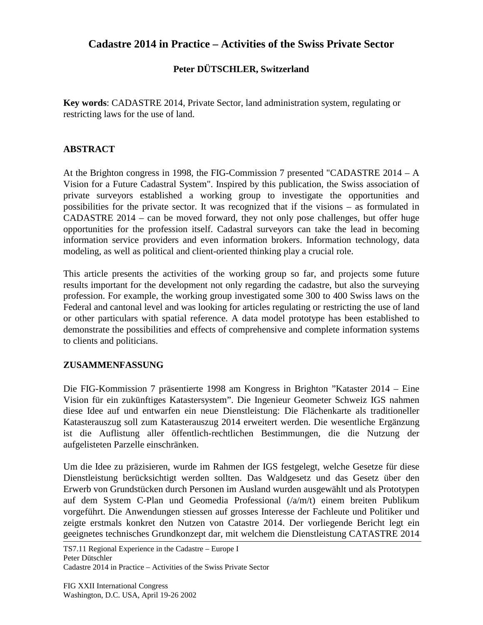# **Cadastre 2014 in Practice – Activities of the Swiss Private Sector**

### **Peter DÜTSCHLER, Switzerland**

**Key words**: CADASTRE 2014, Private Sector, land administration system, regulating or restricting laws for the use of land.

### **ABSTRACT**

At the Brighton congress in 1998, the FIG-Commission 7 presented "CADASTRE 2014 – A Vision for a Future Cadastral System". Inspired by this publication, the Swiss association of private surveyors established a working group to investigate the opportunities and possibilities for the private sector. It was recognized that if the visions – as formulated in CADASTRE 2014 – can be moved forward, they not only pose challenges, but offer huge opportunities for the profession itself. Cadastral surveyors can take the lead in becoming information service providers and even information brokers. Information technology, data modeling, as well as political and client-oriented thinking play a crucial role.

This article presents the activities of the working group so far, and projects some future results important for the development not only regarding the cadastre, but also the surveying profession. For example, the working group investigated some 300 to 400 Swiss laws on the Federal and cantonal level and was looking for articles regulating or restricting the use of land or other particulars with spatial reference. A data model prototype has been established to demonstrate the possibilities and effects of comprehensive and complete information systems to clients and politicians.

#### **ZUSAMMENFASSUNG**

Die FIG-Kommission 7 präsentierte 1998 am Kongress in Brighton "Kataster 2014 – Eine Vision für ein zukünftiges Katastersystem". Die Ingenieur Geometer Schweiz IGS nahmen diese Idee auf und entwarfen ein neue Dienstleistung: Die Flächenkarte als traditioneller Katasterauszug soll zum Katasterauszug 2014 erweitert werden. Die wesentliche Ergänzung ist die Auflistung aller öffentlich-rechtlichen Bestimmungen, die die Nutzung der aufgelisteten Parzelle einschränken.

Um die Idee zu präzisieren, wurde im Rahmen der IGS festgelegt, welche Gesetze für diese Dienstleistung berücksichtigt werden sollten. Das Waldgesetz und das Gesetz über den Erwerb von Grundstücken durch Personen im Ausland wurden ausgewählt und als Prototypen auf dem System C-Plan und Geomedia Professional (/a/m/t) einem breiten Publikum vorgeführt. Die Anwendungen stiessen auf grosses Interesse der Fachleute und Politiker und zeigte erstmals konkret den Nutzen von Catastre 2014. Der vorliegende Bericht legt ein geeignetes technisches Grundkonzept dar, mit welchem die Dienstleistung CATASTRE 2014

TS7.11 Regional Experience in the Cadastre – Europe I Peter Dütschler Cadastre 2014 in Practice – Activities of the Swiss Private Sector